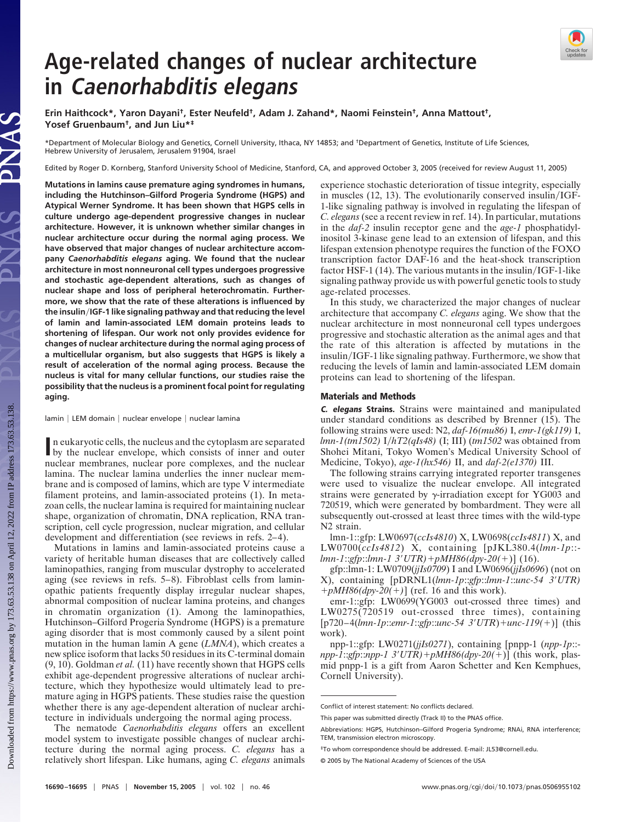## **Age-related changes of nuclear architecture in Caenorhabditis elegans**

**Erin Haithcock\*, Yaron Dayani†, Ester Neufeld†, Adam J. Zahand\*, Naomi Feinstein†, Anna Mattout†, Yosef Gruenbaum†, and Jun Liu\*‡**

\*Department of Molecular Biology and Genetics, Cornell University, Ithaca, NY 14853; and †Department of Genetics, Institute of Life Sciences, Hebrew University of Jerusalem, Jerusalem 91904, Israel

Edited by Roger D. Kornberg, Stanford University School of Medicine, Stanford, CA, and approved October 3, 2005 (received for review August 11, 2005)

**Mutations in lamins cause premature aging syndromes in humans, including the Hutchinson–Gilford Progeria Syndrome (HGPS) and Atypical Werner Syndrome. It has been shown that HGPS cells in culture undergo age-dependent progressive changes in nuclear architecture. However, it is unknown whether similar changes in nuclear architecture occur during the normal aging process. We have observed that major changes of nuclear architecture accompany** *Caenorhabditis elegans* **aging. We found that the nuclear architecture in most nonneuronal cell types undergoes progressive and stochastic age-dependent alterations, such as changes of nuclear shape and loss of peripheral heterochromatin. Furthermore, we show that the rate of these alterations is influenced by the insulinIGF-1 like signaling pathway and that reducing the level of lamin and lamin-associated LEM domain proteins leads to shortening of lifespan. Our work not only provides evidence for changes of nuclear architecture during the normal aging process of a multicellular organism, but also suggests that HGPS is likely a result of acceleration of the normal aging process. Because the nucleus is vital for many cellular functions, our studies raise the possibility that the nucleus is a prominent focal point for regulating aging.**

lamin | LEM domain | nuclear envelope | nuclear lamina

In eukaryotic cells, the nucleus and the cytoplasm are separated<br>by the nuclear envelope, which consists of inner and outer by the nuclear envelope, which consists of inner and outer nuclear membranes, nuclear pore complexes, and the nuclear lamina. The nuclear lamina underlies the inner nuclear membrane and is composed of lamins, which are type V intermediate filament proteins, and lamin-associated proteins (1). In metazoan cells, the nuclear lamina is required for maintaining nuclear shape, organization of chromatin, DNA replication, RNA transcription, cell cycle progression, nuclear migration, and cellular development and differentiation (see reviews in refs. 2–4).

Mutations in lamins and lamin-associated proteins cause a variety of heritable human diseases that are collectively called laminopathies, ranging from muscular dystrophy to accelerated aging (see reviews in refs. 5–8). Fibroblast cells from laminopathic patients frequently display irregular nuclear shapes, abnormal composition of nuclear lamina proteins, and changes in chromatin organization (1). Among the laminopathies, Hutchinson–Gilford Progeria Syndrome (HGPS) is a premature aging disorder that is most commonly caused by a silent point mutation in the human lamin A gene (*LMNA*), which creates a new splice isoform that lacks 50 residues in its C-terminal domain (9, 10). Goldman *et al.* (11) have recently shown that HGPS cells exhibit age-dependent progressive alterations of nuclear architecture, which they hypothesize would ultimately lead to premature aging in HGPS patients. These studies raise the question whether there is any age-dependent alteration of nuclear architecture in individuals undergoing the normal aging process.

The nematode *Caenorhabditis elegans* offers an excellent model system to investigate possible changes of nuclear architecture during the normal aging process. *C. elegans* has a relatively short lifespan. Like humans, aging *C. elegans* animals experience stochastic deterioration of tissue integrity, especially in muscles  $(12, 13)$ . The evolutionarily conserved insulin/IGF-1-like signaling pathway is involved in regulating the lifespan of *C. elegans*(see a recent review in ref. 14). In particular, mutations in the *daf-2* insulin receptor gene and the *age-1* phosphatidylinositol 3-kinase gene lead to an extension of lifespan, and this lifespan extension phenotype requires the function of the FOXO transcription factor DAF-16 and the heat-shock transcription factor HSF-1 (14). The various mutants in the insulin/IGF-1-like signaling pathway provide us with powerful genetic tools to study age-related processes.

In this study, we characterized the major changes of nuclear architecture that accompany *C. elegans* aging. We show that the nuclear architecture in most nonneuronal cell types undergoes progressive and stochastic alteration as the animal ages and that the rate of this alteration is affected by mutations in the insulin/IGF-1 like signaling pathway. Furthermore, we show that reducing the levels of lamin and lamin-associated LEM domain proteins can lead to shortening of the lifespan.

## **Materials and Methods**

**C. elegans Strains.** Strains were maintained and manipulated under standard conditions as described by Brenner (15). The following strains were used: N2, *daf-16(mu86)* I, *emr-1(gk119)* I, *lmn-1(tm1502)* I*hT2(qIs48)* (I; III) (*tm1502* was obtained from Shohei Mitani, Tokyo Women's Medical University School of Medicine, Tokyo), *age-1(hx546)* II, and *daf-2(e1370)* III.

The following strains carrying integrated reporter transgenes were used to visualize the nuclear envelope. All integrated strains were generated by  $\gamma$ -irradiation except for YG003 and 720519, which were generated by bombardment. They were all subsequently out-crossed at least three times with the wild-type N2 strain.

lmn-1::gfp: LW0697(*ccIs4810*) X, LW0698(*ccIs4811*) X, and LW0700(*ccIs4812*) X, containing [pJKL380.4(*lmn-1p*:: *lmn-1*::*gfp*::*lmn-1 3UTR)*-*pMH86(dpy-20(*-)] (16).

gfp::lmn-1: LW0709(*jjIs0709*) I and LW0696(*jjIs0696*) (not on X), containing [pDRNL1(*lmn-1p*::*gfp*::*lmn-1*::*unc-54 3UTR)*  $+pMH86(dpy-20(+)$  (ref. 16 and this work).

emr-1::gfp: LW0699(YG003 out-crossed three times) and LW0275(720519 out-crossed three times), containing [p720–4(*lmn-1p*::*emr-1*::*gfp*::*unc-54 3UTR*)-*unc-119(*-)] (this work).

npp-1::gfp: LW0271(*jjIs0271*), containing [pnpp-1 (*npp-1p*:: *npp-1*::*gfp*::*npp-1 3UTR)*-*pMH86(dpy-20(*-)] (this work, plasmid pnpp-1 is a gift from Aaron Schetter and Ken Kemphues, Cornell University).



Conflict of interest statement: No conflicts declared.

This paper was submitted directly (Track II) to the PNAS office.

Abbreviations: HGPS, Hutchinson–Gilford Progeria Syndrome; RNAi, RNA interference; TEM, transmission electron microscopy.

<sup>‡</sup>To whom correspondence should be addressed. E-mail: JL53@cornell.edu.

<sup>© 2005</sup> by The National Academy of Sciences of the USA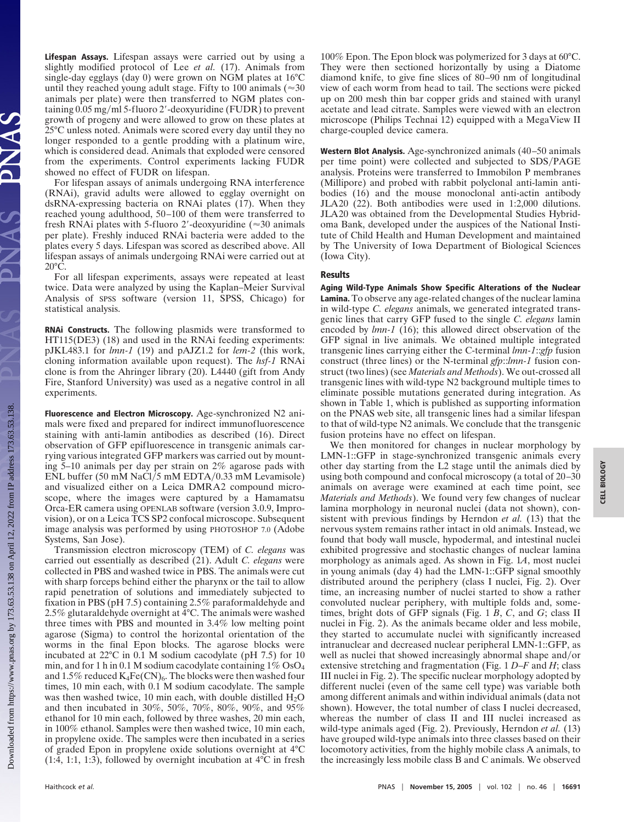**Lifespan Assays.** Lifespan assays were carried out by using a slightly modified protocol of Lee *et al.* (17). Animals from single-day egglays (day 0) were grown on NGM plates at 16°C until they reached young adult stage. Fifty to 100 animals ( $\approx$ 30 animals per plate) were then transferred to NGM plates containing  $0.05$  mg/ml 5-fluoro 2'-deoxyuridine (FUDR) to prevent growth of progeny and were allowed to grow on these plates at 25°C unless noted. Animals were scored every day until they no longer responded to a gentle prodding with a platinum wire, which is considered dead. Animals that exploded were censored from the experiments. Control experiments lacking FUDR showed no effect of FUDR on lifespan.

For lifespan assays of animals undergoing RNA interference (RNAi), gravid adults were allowed to egglay overnight on dsRNA-expressing bacteria on RNAi plates (17). When they reached young adulthood, 50–100 of them were transferred to fresh RNAi plates with 5-fluoro 2'-deoxyuridine ( $\approx$ 30 animals per plate). Freshly induced RNAi bacteria were added to the plates every 5 days. Lifespan was scored as described above. All lifespan assays of animals undergoing RNAi were carried out at 20°C.

For all lifespan experiments, assays were repeated at least twice. Data were analyzed by using the Kaplan–Meier Survival Analysis of SPSS software (version 11, SPSS, Chicago) for statistical analysis.

**RNAi Constructs.** The following plasmids were transformed to HT115(DE3) (18) and used in the RNAi feeding experiments: pJKL483.1 for *lmn-1* (19) and pAJZ1.2 for *lem-2* (this work, cloning information available upon request). The *hsf-1* RNAi clone is from the Ahringer library (20). L4440 (gift from Andy Fire, Stanford University) was used as a negative control in all experiments.

**Fluorescence and Electron Microscopy.** Age-synchronized N2 animals were fixed and prepared for indirect immunofluorescence staining with anti-lamin antibodies as described (16). Direct observation of GFP epifluorescence in transgenic animals carrying various integrated GFP markers was carried out by mounting 5–10 animals per day per strain on 2% agarose pads with ENL buffer (50 mM NaCl/5 mM EDTA/0.33 mM Levamisole) and visualized either on a Leica DMRA2 compound microscope, where the images were captured by a Hamamatsu Orca-ER camera using OPENLAB software (version 3.0.9, Improvision), or on a Leica TCS SP2 confocal microscope. Subsequent image analysis was performed by using PHOTOSHOP 7.0 (Adobe Systems, San Jose).

Transmission electron microscopy (TEM) of *C. elegans* was carried out essentially as described (21). Adult *C. elegans* were collected in PBS and washed twice in PBS. The animals were cut with sharp forceps behind either the pharynx or the tail to allow rapid penetration of solutions and immediately subjected to fixation in PBS (pH 7.5) containing 2.5% paraformaldehyde and 2.5% glutaraldehyde overnight at 4°C. The animals were washed three times with PBS and mounted in 3.4% low melting point agarose (Sigma) to control the horizontal orientation of the worms in the final Epon blocks. The agarose blocks were incubated at 22°C in 0.1 M sodium cacodylate (pH 7.5) for 10 min, and for 1 h in 0.1 M sodium cacodylate containing  $1\%$  OsO<sub>4</sub> and 1.5% reduced  $K_4Fe(CN)_6$ . The blocks were then washed four times, 10 min each, with 0.1 M sodium cacodylate. The sample was then washed twice, 10 min each, with double distilled  $H_2O$ and then incubated in 30%, 50%, 70%, 80%, 90%, and 95% ethanol for 10 min each, followed by three washes, 20 min each, in 100% ethanol. Samples were then washed twice, 10 min each, in propylene oxide. The samples were then incubated in a series of graded Epon in propylene oxide solutions overnight at 4°C  $(1:4, 1:1, 1:3)$ , followed by overnight incubation at  $4^{\circ}$ C in fresh 100% Epon. The Epon block was polymerized for 3 days at 60°C. They were then sectioned horizontally by using a Diatome diamond knife, to give fine slices of 80–90 nm of longitudinal view of each worm from head to tail. The sections were picked up on 200 mesh thin bar copper grids and stained with uranyl acetate and lead citrate. Samples were viewed with an electron microscope (Philips Technai 12) equipped with a MegaView II charge-coupled device camera.

**Western Blot Analysis.** Age-synchronized animals (40–50 animals per time point) were collected and subjected to SDS/PAGE analysis. Proteins were transferred to Immobilon P membranes (Millipore) and probed with rabbit polyclonal anti-lamin antibodies (16) and the mouse monoclonal anti-actin antibody JLA20 (22). Both antibodies were used in 1:2,000 dilutions. JLA20 was obtained from the Developmental Studies Hybridoma Bank, developed under the auspices of the National Institute of Child Health and Human Development and maintained by The University of Iowa Department of Biological Sciences (Iowa City).

## **Results**

**Aging Wild-Type Animals Show Specific Alterations of the Nuclear Lamina.** To observe any age-related changes of the nuclear lamina in wild-type *C. elegans* animals, we generated integrated transgenic lines that carry GFP fused to the single *C. elegans* lamin encoded by *lmn-1* (16); this allowed direct observation of the GFP signal in live animals. We obtained multiple integrated transgenic lines carrying either the C-terminal *lmn-1*::*gfp* fusion construct (three lines) or the N-terminal *gfp*::*lmn-1* fusion construct (two lines) (see *Materials and Methods*). We out-crossed all transgenic lines with wild-type N2 background multiple times to eliminate possible mutations generated during integration. As shown in Table 1, which is published as supporting information on the PNAS web site, all transgenic lines had a similar lifespan to that of wild-type N2 animals. We conclude that the transgenic fusion proteins have no effect on lifespan.

We then monitored for changes in nuclear morphology by LMN-1::GFP in stage-synchronized transgenic animals every other day starting from the L2 stage until the animals died by using both compound and confocal microscopy (a total of 20–30 animals on average were examined at each time point, see *Materials and Methods*). We found very few changes of nuclear lamina morphology in neuronal nuclei (data not shown), consistent with previous findings by Herndon *et al.* (13) that the nervous system remains rather intact in old animals. Instead, we found that body wall muscle, hypodermal, and intestinal nuclei exhibited progressive and stochastic changes of nuclear lamina morphology as animals aged. As shown in Fig. 1*A*, most nuclei in young animals (day 4) had the LMN-1::GFP signal smoothly distributed around the periphery (class I nuclei, Fig. 2). Over time, an increasing number of nuclei started to show a rather convoluted nuclear periphery, with multiple folds and, sometimes, bright dots of GFP signals (Fig. 1 *B*, *C*, and *G*; class II nuclei in Fig. 2). As the animals became older and less mobile, they started to accumulate nuclei with significantly increased intranuclear and decreased nuclear peripheral LMN-1::GFP, as well as nuclei that showed increasingly abnormal shape and/or extensive stretching and fragmentation (Fig. 1 *D*–*F* and *H*; class III nuclei in Fig. 2). The specific nuclear morphology adopted by different nuclei (even of the same cell type) was variable both among different animals and within individual animals (data not shown). However, the total number of class I nuclei decreased, whereas the number of class II and III nuclei increased as wild-type animals aged (Fig. 2). Previously, Herndon *et al.* (13) have grouped wild-type animals into three classes based on their locomotory activities, from the highly mobile class A animals, to the increasingly less mobile class B and C animals. We observed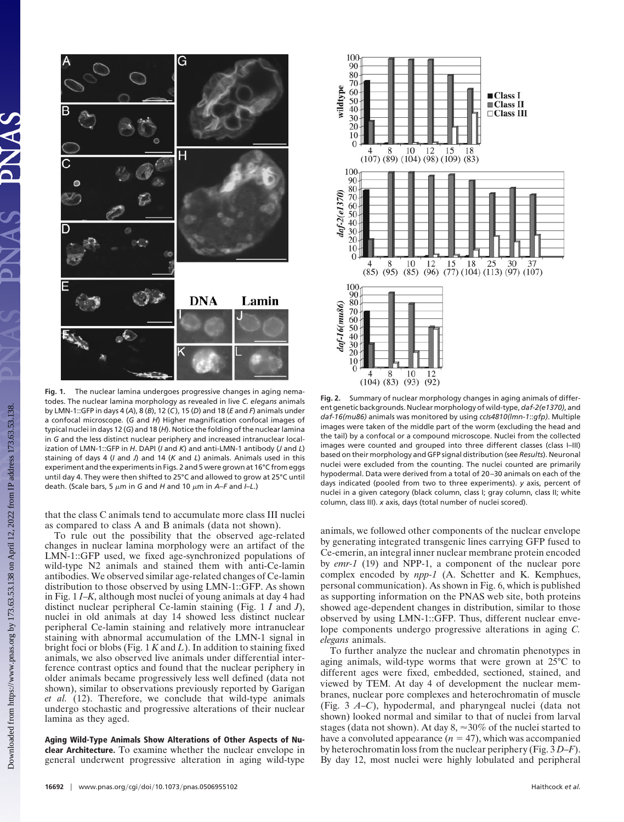

**Fig. 1.** The nuclear lamina undergoes progressive changes in aging nematodes. The nuclear lamina morphology as revealed in live *C. elegans* animals by LMN-1::GFP in days 4 (*A*), 8 (*B*), 12 (*C*), 15 (*D*) and 18 (*E* and *F*) animals under a confocal microscope. (*G* and *H*) Higher magnification confocal images of typical nuclei in days 12 (*G*) and 18 (*H*). Notice the folding of the nuclear lamina in *G* and the less distinct nuclear periphery and increased intranuclear localization of LMN-1::GFP in *H*. DAPI (*I* and *K*) and anti-LMN-1 antibody (*J* and *L*) staining of days 4 (*I* and *J*) and 14 (*K* and *L*) animals. Animals used in this experiment and the experiments in Figs. 2 and 5 were grown at 16°C from eggs until day 4. They were then shifted to 25°C and allowed to grow at 25°C until death. (Scale bars, 5  $\mu$ m in *G* and *H* and 10  $\mu$ m in *A–F* and *I–L*.)

that the class C animals tend to accumulate more class III nuclei as compared to class A and B animals (data not shown).

To rule out the possibility that the observed age-related changes in nuclear lamina morphology were an artifact of the LMN-1::GFP used, we fixed age-synchronized populations of wild-type N2 animals and stained them with anti-Ce-lamin antibodies. We observed similar age-related changes of Ce-lamin distribution to those observed by using LMN-1::GFP. As shown in Fig. 1 *I*–*K*, although most nuclei of young animals at day 4 had distinct nuclear peripheral Ce-lamin staining (Fig. 1 *I* and *J*), nuclei in old animals at day 14 showed less distinct nuclear peripheral Ce-lamin staining and relatively more intranuclear staining with abnormal accumulation of the LMN-1 signal in bright foci or blobs (Fig. 1 *K* and *L*). In addition to staining fixed animals, we also observed live animals under differential interference contrast optics and found that the nuclear periphery in older animals became progressively less well defined (data not shown), similar to observations previously reported by Garigan *et al.* (12). Therefore, we conclude that wild-type animals undergo stochastic and progressive alterations of their nuclear lamina as they aged.

**Aging Wild-Type Animals Show Alterations of Other Aspects of Nuclear Architecture.** To examine whether the nuclear envelope in general underwent progressive alteration in aging wild-type



**Fig. 2.** Summary of nuclear morphology changes in aging animals of different genetic backgrounds. Nuclear morphology of wild-type,*daf-2(e1370)*, and *daf-16(mu86)* animals was monitored by using *ccIs4810(lmn-1*::*gfp)*. Multiple images were taken of the middle part of the worm (excluding the head and the tail) by a confocal or a compound microscope. Nuclei from the collected images were counted and grouped into three different classes (class I–III) based on their morphology and GFP signal distribution (see *Results*). Neuronal nuclei were excluded from the counting. The nuclei counted are primarily hypodermal. Data were derived from a total of 20–30 animals on each of the days indicated (pooled from two to three experiments). *y* axis, percent of nuclei in a given category (black column, class I; gray column, class II; white column, class III). *x* axis, days (total number of nuclei scored).

animals, we followed other components of the nuclear envelope by generating integrated transgenic lines carrying GFP fused to Ce-emerin, an integral inner nuclear membrane protein encoded by *emr-1* (19) and NPP-1, a component of the nuclear pore complex encoded by *npp-1* (A. Schetter and K. Kemphues, personal communication). As shown in Fig. 6, which is published as supporting information on the PNAS web site, both proteins showed age-dependent changes in distribution, similar to those observed by using LMN-1::GFP. Thus, different nuclear envelope components undergo progressive alterations in aging *C. elegans* animals.

To further analyze the nuclear and chromatin phenotypes in aging animals, wild-type worms that were grown at 25°C to different ages were fixed, embedded, sectioned, stained, and viewed by TEM. At day 4 of development the nuclear membranes, nuclear pore complexes and heterochromatin of muscle (Fig. 3 *A*–*C*), hypodermal, and pharyngeal nuclei (data not shown) looked normal and similar to that of nuclei from larval stages (data not shown). At day  $8 \approx 30\%$  of the nuclei started to have a convoluted appearance  $(n = 47)$ , which was accompanied by heterochromatin loss from the nuclear periphery (Fig. 3 *D*–*F*). By day 12, most nuclei were highly lobulated and peripheral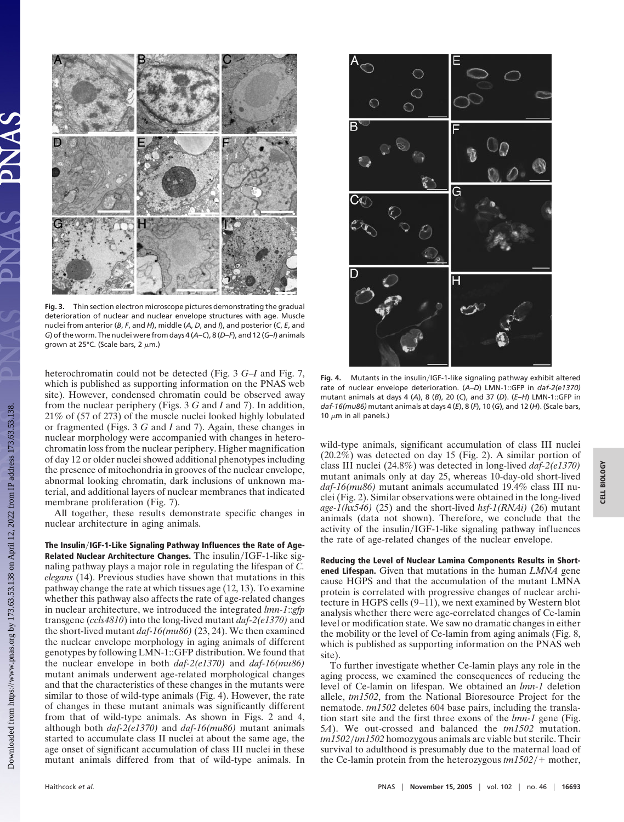

**Fig. 3.** Thin section electron microscope pictures demonstrating the gradual deterioration of nuclear and nuclear envelope structures with age. Muscle nuclei from anterior (*B*, *F*, and *H*), middle (*A*, *D*, and *I*), and posterior (*C*, *E*, and *G*) of the worm. The nuclei were from days 4 (*A*–*C*), 8 (*D*–*F*), and 12 (*G*–*I*) animals grown at 25°C. (Scale bars, 2  $\mu$ m.)

heterochromatin could not be detected (Fig. 3 *G*–*I* and Fig. 7, which is published as supporting information on the PNAS web site). However, condensed chromatin could be observed away from the nuclear periphery (Figs. 3 *G* and *I* and 7). In addition, 21% of (57 of 273) of the muscle nuclei looked highly lobulated or fragmented (Figs. 3 *G* and *I* and 7). Again, these changes in nuclear morphology were accompanied with changes in heterochromatin loss from the nuclear periphery. Higher magnification of day 12 or older nuclei showed additional phenotypes including the presence of mitochondria in grooves of the nuclear envelope, abnormal looking chromatin, dark inclusions of unknown material, and additional layers of nuclear membranes that indicated membrane proliferation (Fig. 7).

All together, these results demonstrate specific changes in nuclear architecture in aging animals.

**The InsulinIGF-1-Like Signaling Pathway Influences the Rate of Age-Related Nuclear Architecture Changes.** The insulin/IGF-1-like signaling pathway plays a major role in regulating the lifespan of *C. elegans* (14). Previous studies have shown that mutations in this pathway change the rate at which tissues age (12, 13). To examine whether this pathway also affects the rate of age-related changes in nuclear architecture, we introduced the integrated *lmn-1*::*gfp* transgene (*ccls4810*) into the long-lived mutant *daf-2(e1370)* and the short-lived mutant *daf-16(mu86)* (23, 24). We then examined the nuclear envelope morphology in aging animals of different genotypes by following LMN-1::GFP distribution. We found that the nuclear envelope in both *daf-2(e1370)* and *daf-16(mu86)* mutant animals underwent age-related morphological changes and that the characteristics of these changes in the mutants were similar to those of wild-type animals (Fig. 4). However, the rate of changes in these mutant animals was significantly different from that of wild-type animals. As shown in Figs. 2 and 4, although both *daf-2(e1370)* and *daf-16(mu86)* mutant animals started to accumulate class II nuclei at about the same age, the age onset of significant accumulation of class III nuclei in these mutant animals differed from that of wild-type animals. In



Fig. 4. Mutants in the insulin/IGF-1-like signaling pathway exhibit altered rate of nuclear envelope deterioration. (*A*–*D*) LMN-1::GFP in *daf-2(e1370)* mutant animals at days 4 (*A*), 8 (*B*), 20 (*C*), and 37 (*D*). (*E*–*H*) LMN-1::GFP in *daf-16(mu86)* mutant animals at days 4 (*E*), 8 (*F*), 10 (*G*), and 12 (*H*). (Scale bars, 10  $\mu$ m in all panels.)

wild-type animals, significant accumulation of class III nuclei  $(20.2\%)$  was detected on day 15 (Fig. 2). A similar portion of class III nuclei (24.8%) was detected in long-lived *daf-2(e1370)* mutant animals only at day 25, whereas 10-day-old short-lived *daf-16(mu86)* mutant animals accumulated 19.4% class III nuclei (Fig. 2). Similar observations were obtained in the long-lived *age-1(hx546)* (25) and the short-lived *hsf-1(RNAi)* (26) mutant animals (data not shown). Therefore, we conclude that the activity of the insulin/IGF-1-like signaling pathway influences the rate of age-related changes of the nuclear envelope.

**Reducing the Level of Nuclear Lamina Components Results in Shortened Lifespan.** Given that mutations in the human *LMNA* gene cause HGPS and that the accumulation of the mutant LMNA protein is correlated with progressive changes of nuclear architecture in HGPS cells (9–11), we next examined by Western blot analysis whether there were age-correlated changes of Ce-lamin level or modification state. We saw no dramatic changes in either the mobility or the level of Ce-lamin from aging animals (Fig. 8, which is published as supporting information on the PNAS web site).

To further investigate whether Ce-lamin plays any role in the aging process, we examined the consequences of reducing the level of Ce-lamin on lifespan. We obtained an *lmn-1* deletion allele, *tm1502*, from the National Bioresource Project for the nematode. *tm1502* deletes 604 base pairs, including the translation start site and the first three exons of the *lmn-1* gene (Fig. 5*A*). We out-crossed and balanced the *tm1502* mutation. *tm1502tm1502* homozygous animals are viable but sterile. Their survival to adulthood is presumably due to the maternal load of the Ce-lamin protein from the heterozygous  $tm1502/+$  mother,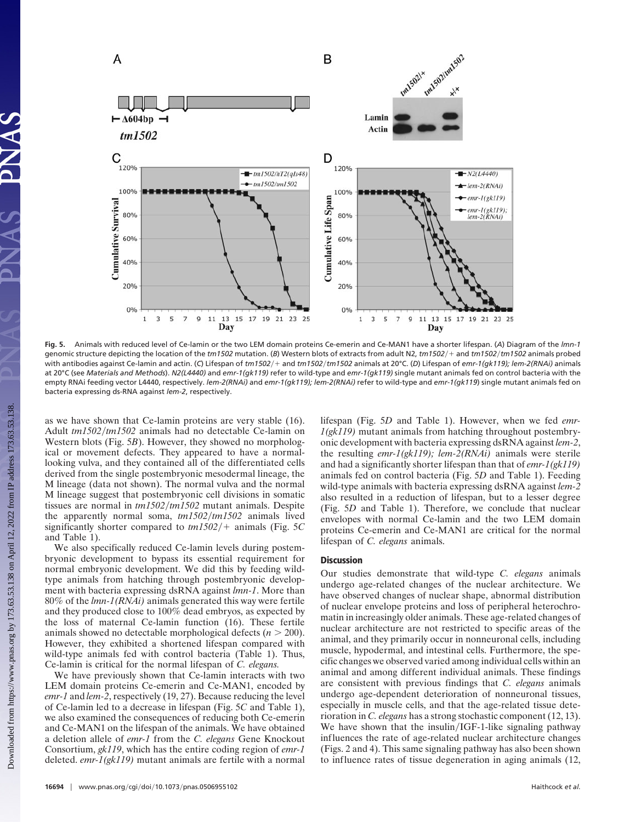

**Fig. 5.** Animals with reduced level of Ce-lamin or the two LEM domain proteins Ce-emerin and Ce-MAN1 have a shorter lifespan. (*A*) Diagram of the *lmn-1* genomic structure depicting the location of the *tm1502* mutation. (*B*) Western blots of extracts from adult N2, *tm1502*- and *tm1502tm1502* animals probed with antibodies against Ce-lamin and actin. (*C*) Lifespan of *tm1502*- and *tm1502tm1502* animals at 20°C. (*D*) Lifespan of *emr-1(gk119); lem-2(RNAi)* animals at 20°C (see *Materials and Methods*). *N2(L4440)* and *emr-1(gk119)* refer to wild-type and *emr-1(gk119)* single mutant animals fed on control bacteria with the empty RNAi feeding vector L4440, respectively. *lem-2(RNAi)* and *emr-1(gk119); lem-2(RNAi)* refer to wild-type and *emr-1(gk119*) single mutant animals fed on bacteria expressing ds-RNA against *lem-2*, respectively.

as we have shown that Ce-lamin proteins are very stable (16). Adult *tm1502tm1502* animals had no detectable Ce-lamin on Western blots (Fig. 5*B*). However, they showed no morphological or movement defects. They appeared to have a normallooking vulva, and they contained all of the differentiated cells derived from the single postembryonic mesodermal lineage, the M lineage (data not shown). The normal vulva and the normal M lineage suggest that postembryonic cell divisions in somatic tissues are normal in *tm1502tm1502* mutant animals. Despite the apparently normal soma, *tm1502tm1502* animals lived significantly shorter compared to  $tm1502/+$  animals (Fig. 5C) and Table 1).

We also specifically reduced Ce-lamin levels during postembryonic development to bypass its essential requirement for normal embryonic development. We did this by feeding wildtype animals from hatching through postembryonic development with bacteria expressing dsRNA against *lmn-1*. More than 80% of the *lmn-1(RNAi)* animals generated this way were fertile and they produced close to 100% dead embryos, as expected by the loss of maternal Ce-lamin function (16). These fertile animals showed no detectable morphological defects  $(n > 200)$ . However, they exhibited a shortened lifespan compared with wild-type animals fed with control bacteria (Table 1). Thus, Ce-lamin is critical for the normal lifespan of *C. elegans.*

We have previously shown that Ce-lamin interacts with two LEM domain proteins Ce-emerin and Ce-MAN1, encoded by *emr-1* and *lem-2*, respectively (19, 27). Because reducing the level of Ce-lamin led to a decrease in lifespan (Fig. 5*C* and Table 1), we also examined the consequences of reducing both Ce-emerin and Ce-MAN1 on the lifespan of the animals. We have obtained a deletion allele of *emr-1* from the *C. elegans* Gene Knockout Consortium, *gk119*, which has the entire coding region of *emr-1* deleted. *emr-1(gk119)* mutant animals are fertile with a normal lifespan (Fig. 5*D* and Table 1). However, when we fed *emr-1(gk119)* mutant animals from hatching throughout postembryonic development with bacteria expressing dsRNA against *lem-2*, the resulting *emr-1(gk119); lem-2(RNAi)* animals were sterile and had a significantly shorter lifespan than that of *emr-1(gk119)* animals fed on control bacteria (Fig. 5*D* and Table 1). Feeding wild-type animals with bacteria expressing dsRNA against *lem-2* also resulted in a reduction of lifespan, but to a lesser degree (Fig. 5*D* and Table 1). Therefore, we conclude that nuclear envelopes with normal Ce-lamin and the two LEM domain proteins Ce-emerin and Ce-MAN1 are critical for the normal lifespan of *C. elegans* animals.

## **Discussion**

Our studies demonstrate that wild-type *C. elegans* animals undergo age-related changes of the nuclear architecture. We have observed changes of nuclear shape, abnormal distribution of nuclear envelope proteins and loss of peripheral heterochromatin in increasingly older animals. These age-related changes of nuclear architecture are not restricted to specific areas of the animal, and they primarily occur in nonneuronal cells, including muscle, hypodermal, and intestinal cells. Furthermore, the specific changes we observed varied among individual cells within an animal and among different individual animals. These findings are consistent with previous findings that *C. elegans* animals undergo age-dependent deterioration of nonneuronal tissues, especially in muscle cells, and that the age-related tissue deterioration in *C. elegans* has a strong stochastic component (12, 13). We have shown that the insulin/IGF-1-like signaling pathway influences the rate of age-related nuclear architecture changes (Figs. 2 and 4). This same signaling pathway has also been shown to influence rates of tissue degeneration in aging animals (12,